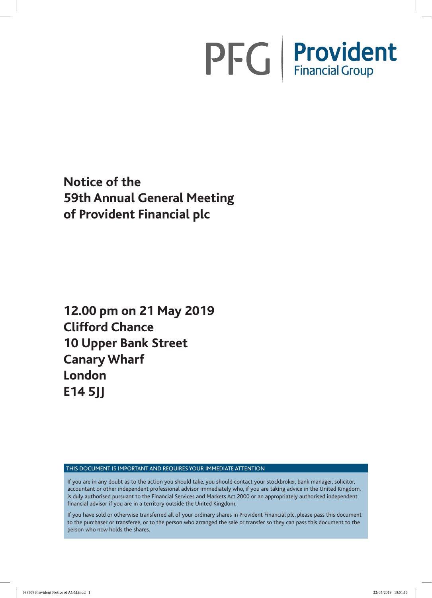

**Notice of the 59th Annual General Meeting of Provident Financial plc**

**12.00 pm on 21 May 2019 Clifford Chance 10 Upper Bank Street Canary Wharf London E14 5JJ**

THIS DOCUMENT IS IMPORTANT AND REQUIRES YOUR IMMEDIATE ATTENTION

 If you are in any doubt as to the action you should take, you should contact your stockbroker, bank manager, solicitor, accountant or other independent professional advisor immediately who, if you are taking advice in the United Kingdom, is duly authorised pursuant to the Financial Services and Markets Act 2000 or an appropriately authorised independent financial advisor if you are in a territory outside the United Kingdom.

 If you have sold or otherwise transferred all of your ordinary shares in Provident Financial plc, please pass this document to the purchaser or transferee, or to the person who arranged the sale or transfer so they can pass this document to the person who now holds the shares.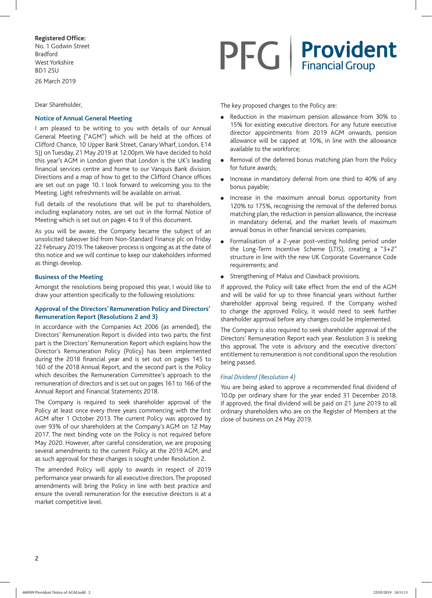# **Registered Office:**

No. 1 Godwin Street Bradford West Yorkshire BD1 2SU

26 March 2019

Dear Shareholder,

#### **Notice of Annual General Meeting**

I am pleased to be writing to you with details of our Annual General Meeting ("AGM") which will be held at the offices of Clifford Chance, 10 Upper Bank Street, Canary Wharf, London, E14 5JJ on Tuesday, 21 May 2019 at 12.00pm. We have decided to hold this year's AGM in London given that London is the UK's leading financial services centre and home to our Vanquis Bank division. Directions and a map of how to get to the Clifford Chance offices are set out on page 10. I look forward to welcoming you to the Meeting. Light refreshments will be available on arrival.

Full details of the resolutions that will be put to shareholders, including explanatory notes, are set out in the formal Notice of Meeting which is set out on pages 4 to 9 of this document.

As you will be aware, the Company became the subject of an unsolicited takeover bid from Non-Standard Finance plc on Friday 22 February 2019. The takeover process is ongoing as at the date of this notice and we will continue to keep our stakeholders informed as things develop.

# **Business of the Meeting**

Amongst the resolutions being proposed this year, I would like to draw your attention specifically to the following resolutions:

# **Approval of the Directors' Remuneration Policy and Directors' Remuneration Report (Resolutions 2 and 3)**

In accordance with the Companies Act 2006 (as amended), the Directors' Remuneration Report is divided into two parts; the first part is the Directors' Remuneration Report which explains how the Director's Remuneration Policy (Policy) has been implemented during the 2018 financial year and is set out on pages 145 to 160 of the 2018 Annual Report, and the second part is the Policy which describes the Remuneration Committee's approach to the remuneration of directors and is set out on pages 161 to 166 of the Annual Report and Financial Statements 2018.

The Company is required to seek shareholder approval of the Policy at least once every three years commencing with the first AGM after 1 October 2013. The current Policy was approved by over 93% of our shareholders at the Company's AGM on 12 May 2017. The next binding vote on the Policy is not required before May 2020. However, after careful consideration, we are proposing several amendments to the current Policy at the 2019 AGM, and as such approval for these changes is sought under Resolution 2.

The amended Policy will apply to awards in respect of 2019 performance year onwards for all executive directors. The proposed amendments will bring the Policy in line with best practice and ensure the overall remuneration for the executive directors is at a market competitive level.

# **PFG** | Provident

The key proposed changes to the Policy are:

- Reduction in the maximum pension allowance from 30% to 15% for existing executive directors. For any future executive director appointments from 2019 AGM onwards, pension allowance will be capped at 10%, in line with the allowance available to the workforce;
- Removal of the deferred bonus matching plan from the Policy for future awards;
- Increase in mandatory deferral from one third to 40% of any bonus payable;
- Increase in the maximum annual bonus opportunity from 120% to 175%, recognising the removal of the deferred bonus matching plan, the reduction in pension allowance, the increase in mandatory deferral, and the market levels of maximum annual bonus in other financial services companies;
- Formalisation of a 2-year post-vesting holding period under the Long-Term Incentive Scheme (LTIS), creating a "3+2" structure in line with the new UK Corporate Governance Code requirements; and
- **•** Strengthening of Malus and Clawback provisions.

If approved, the Policy will take effect from the end of the AGM and will be valid for up to three financial years without further shareholder approval being required. If the Company wished to change the approved Policy, it would need to seek further shareholder approval before any changes could be implemented.

The Company is also required to seek shareholder approval of the Directors' Remuneration Report each year. Resolution 3 is seeking this approval. The vote is advisory and the executive directors' entitlement to remuneration is not conditional upon the resolution being passed.

#### *Final Dividend (Resolution 4)*

You are being asked to approve a recommended final dividend of 10.0p per ordinary share for the year ended 31 December 2018. If approved, the final dividend will be paid on 21 June 2019 to all ordinary shareholders who are on the Register of Members at the close of business on 24 May 2019.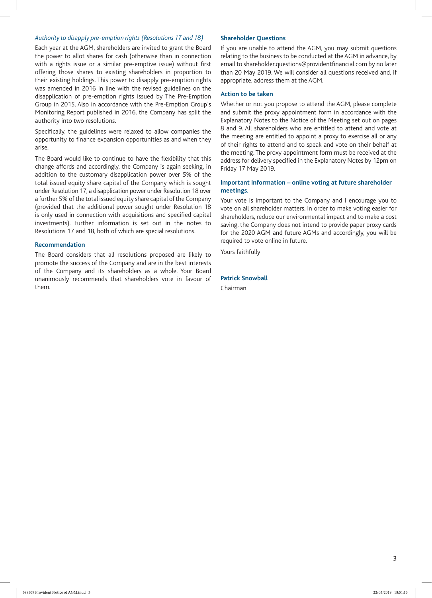# *Authority to disapply pre-emption rights (Resolutions 17 and 18)*

Each year at the AGM, shareholders are invited to grant the Board the power to allot shares for cash (otherwise than in connection with a rights issue or a similar pre-emptive issue) without first offering those shares to existing shareholders in proportion to their existing holdings. This power to disapply pre-emption rights was amended in 2016 in line with the revised guidelines on the disapplication of pre-emption rights issued by The Pre-Emption Group in 2015. Also in accordance with the Pre-Emption Group's Monitoring Report published in 2016, the Company has split the authority into two resolutions.

Specifically, the guidelines were relaxed to allow companies the opportunity to finance expansion opportunities as and when they arise.

The Board would like to continue to have the flexibility that this change affords and accordingly, the Company is again seeking, in addition to the customary disapplication power over 5% of the total issued equity share capital of the Company which is sought under Resolution 17, a disapplication power under Resolution 18 over a further 5% of the total issued equity share capital of the Company (provided that the additional power sought under Resolution 18 is only used in connection with acquisitions and specified capital investments). Further information is set out in the notes to Resolutions 17 and 18, both of which are special resolutions.

#### **Recommendation**

The Board considers that all resolutions proposed are likely to promote the success of the Company and are in the best interests of the Company and its shareholders as a whole. Your Board unanimously recommends that shareholders vote in favour of them.

#### **Shareholder Questions**

If you are unable to attend the AGM, you may submit questions relating to the business to be conducted at the AGM in advance, by email to shareholder.questions@providentfinancial.com by no later than 20 May 2019. We will consider all questions received and, if appropriate, address them at the AGM.

#### **Action to be taken**

Whether or not you propose to attend the AGM, please complete and submit the proxy appointment form in accordance with the Explanatory Notes to the Notice of the Meeting set out on pages 8 and 9. All shareholders who are entitled to attend and vote at the meeting are entitled to appoint a proxy to exercise all or any of their rights to attend and to speak and vote on their behalf at the meeting. The proxy appointment form must be received at the address for delivery specified in the Explanatory Notes by 12pm on Friday 17 May 2019.

# **Important Information – online voting at future shareholder meetings.**

Your vote is important to the Company and I encourage you to vote on all shareholder matters. In order to make voting easier for shareholders, reduce our environmental impact and to make a cost saving, the Company does not intend to provide paper proxy cards for the 2020 AGM and future AGMs and accordingly, you will be required to vote online in future.

Yours faithfully

# **Patrick Snowball**

Chairman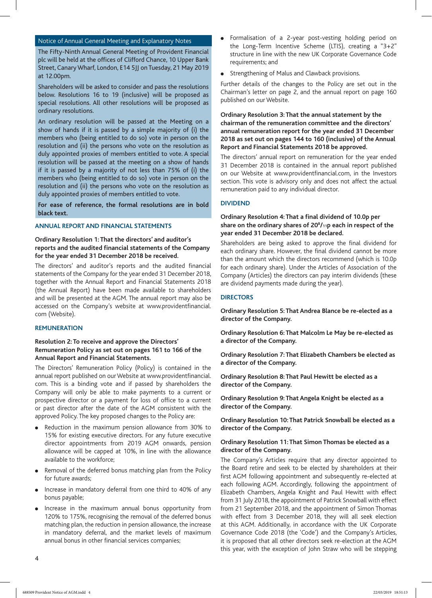# Notice of Annual General Meeting and Explanatory Notes

The Fifty-Ninth Annual General Meeting of Provident Financial plc will be held at the offices of Clifford Chance, 10 Upper Bank Street, Canary Wharf, London, E14 5JJ on Tuesday, 21 May 2019 at 12.00pm.

Shareholders will be asked to consider and pass the resolutions below. Resolutions 16 to 19 (inclusive) will be proposed as special resolutions. All other resolutions will be proposed as ordinary resolutions.

An ordinary resolution will be passed at the Meeting on a show of hands if it is passed by a simple majority of (i) the members who (being entitled to do so) vote in person on the resolution and (ii) the persons who vote on the resolution as duly appointed proxies of members entitled to vote. A special resolution will be passed at the meeting on a show of hands if it is passed by a majority of not less than 75% of (i) the members who (being entitled to do so) vote in person on the resolution and (ii) the persons who vote on the resolution as duly appointed proxies of members entitled to vote.

**For ease of reference, the formal resolutions are in bold black text.**

# **ANNUAL REPORT AND FINANCIAL STATEMENTS**

# **Ordinary Resolution 1: That the directors' and auditor's reports and the audited financial statements of the Company for the year ended 31 December 2018 be received.**

The directors' and auditor's reports and the audited financial statements of the Company for the year ended 31 December 2018, together with the Annual Report and Financial Statements 2018 (the Annual Report) have been made available to shareholders and will be presented at the AGM. The annual report may also be accessed on the Company's website at www.providentfinancial. com (Website).

#### **REMUNERATION**

# **Resolution 2: To receive and approve the Directors' Remuneration Policy as set out on pages 161 to 166 of the Annual Report and Financial Statements.**

The Directors' Remuneration Policy (Policy) is contained in the annual report published on our Website at www.providentfinancial. com. This is a binding vote and if passed by shareholders the Company will only be able to make payments to a current or prospective director or a payment for loss of office to a current or past director after the date of the AGM consistent with the approved Policy. The key proposed changes to the Policy are:

- Reduction in the maximum pension allowance from 30% to 15% for existing executive directors. For any future executive director appointments from 2019 AGM onwards, pension allowance will be capped at 10%, in line with the allowance available to the workforce;
- Removal of the deferred bonus matching plan from the Policy for future awards;
- Increase in mandatory deferral from one third to 40% of any bonus payable;
- Increase in the maximum annual bonus opportunity from 120% to 175%, recognising the removal of the deferred bonus matching plan, the reduction in pension allowance, the increase in mandatory deferral, and the market levels of maximum annual bonus in other financial services companies;
- Formalisation of a 2-year post-vesting holding period on the Long-Term Incentive Scheme (LTIS), creating a "3+2" structure in line with the new UK Corporate Governance Code requirements; and
- Strengthening of Malus and Clawback provisions.

Further details of the changes to the Policy are set out in the Chairman's letter on page 2, and the annual report on page 160 published on our Website.

# **Ordinary Resolution 3: That the annual statement by the chairman of the remuneration committee and the directors' annual remuneration report for the year ended 31 December 2018 as set out on pages 144 to 160 (inclusive) of the Annual Report and Financial Statements 2018 be approved.**

The directors' annual report on remuneration for the year ended 31 December 2018 is contained in the annual report published on our Website at www.providentfinancial.com, in the Investors section. This vote is advisory only and does not affect the actual remuneration paid to any individual director.

# **DIVIDEND**

# **Ordinary Resolution 4: That a final dividend of 10.0p per share on the ordinary shares of 208 /11p each in respect of the year ended 31 December 2018 be declared.**

Shareholders are being asked to approve the final dividend for each ordinary share. However, the final dividend cannot be more than the amount which the directors recommend (which is 10.0p for each ordinary share). Under the Articles of Association of the Company (Articles) the directors can pay interim dividends (these are dividend payments made during the year).

# **DIRECTORS**

**Ordinary Resolution 5: That Andrea Blance be re-elected as a director of the Company.**

**Ordinary Resolution 6: That Malcolm Le May be re-elected as a director of the Company.**

**Ordinary Resolution 7: That Elizabeth Chambers be elected as a director of the Company.**

**Ordinary Resolution 8: That Paul Hewitt be elected as a director of the Company.**

**Ordinary Resolution 9: That Angela Knight be elected as a director of the Company.**

**Ordinary Resolution 10: That Patrick Snowball be elected as a director of the Company.**

# **Ordinary Resolution 11: That Simon Thomas be elected as a director of the Company.**

The Company's Articles require that any director appointed to the Board retire and seek to be elected by shareholders at their first AGM following appointment and subsequently re-elected at each following AGM. Accordingly, following the appointment of Elizabeth Chambers, Angela Knight and Paul Hewitt with effect from 31 July 2018, the appointment of Patrick Snowball with effect from 21 September 2018, and the appointment of Simon Thomas with effect from 3 December 2018, they will all seek election at this AGM. Additionally, in accordance with the UK Corporate Governance Code 2018 (the 'Code') and the Company's Articles, it is proposed that all other directors seek re-election at the AGM this year, with the exception of John Straw who will be stepping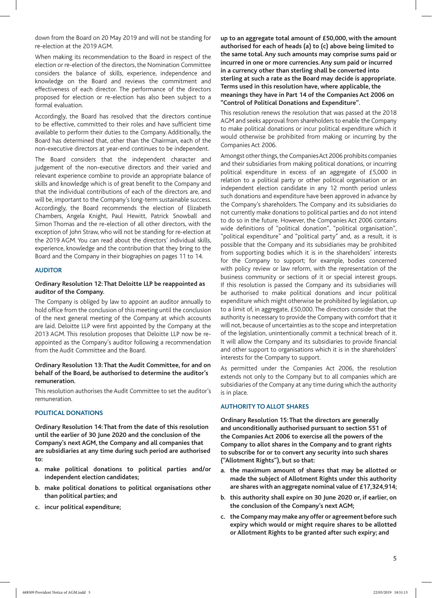down from the Board on 20 May 2019 and will not be standing for re-election at the 2019 AGM.

When making its recommendation to the Board in respect of the election or re-election of the directors, the Nomination Committee considers the balance of skills, experience, independence and knowledge on the Board and reviews the commitment and effectiveness of each director. The performance of the directors proposed for election or re-election has also been subject to a formal evaluation.

Accordingly, the Board has resolved that the directors continue to be effective, committed to their roles and have sufficient time available to perform their duties to the Company. Additionally, the Board has determined that, other than the Chairman, each of the non-executive directors at year-end continues to be independent.

The Board considers that the independent character and judgement of the non-executive directors and their varied and relevant experience combine to provide an appropriate balance of skills and knowledge which is of great benefit to the Company and that the individual contributions of each of the directors are, and will be, important to the Company's long-term sustainable success. Accordingly, the Board recommends the election of Elizabeth Chambers, Angela Knight, Paul Hewitt, Patrick Snowball and Simon Thomas and the re-election of all other directors, with the exception of John Straw, who will not be standing for re-election at the 2019 AGM. You can read about the directors' individual skills, experience, knowledge and the contribution that they bring to the Board and the Company in their biographies on pages 11 to 14.

#### **AUDITOR**

# **Ordinary Resolution 12: That Deloitte LLP be reappointed as auditor of the Company.**

The Company is obliged by law to appoint an auditor annually to hold office from the conclusion of this meeting until the conclusion of the next general meeting of the Company at which accounts are laid. Deloitte LLP were first appointed by the Company at the 2013 AGM. This resolution proposes that Deloitte LLP now be reappointed as the Company's auditor following a recommendation from the Audit Committee and the Board.

# **Ordinary Resolution 13: That the Audit Committee, for and on behalf of the Board, be authorised to determine the auditor's remuneration.**

This resolution authorises the Audit Committee to set the auditor's remuneration.

# **POLITICAL DONATIONS**

**Ordinary Resolution 14: That from the date of this resolution until the earlier of 30 June 2020 and the conclusion of the Company's next AGM, the Company and all companies that are subsidiaries at any time during such period are authorised to:**

- **a. make political donations to political parties and/or independent election candidates;**
- **b. make political donations to political organisations other than political parties; and**
- **c. incur political expenditure;**

**up to an aggregate total amount of £50,000, with the amount authorised for each of heads (a) to (c) above being limited to the same total. Any such amounts may comprise sums paid or incurred in one or more currencies. Any sum paid or incurred in a currency other than sterling shall be converted into sterling at such a rate as the Board may decide is appropriate. Terms used in this resolution have, where applicable, the meanings they have in Part 14 of the Companies Act 2006 on "Control of Political Donations and Expenditure".**

This resolution renews the resolution that was passed at the 2018 AGM and seeks approval from shareholders to enable the Company to make political donations or incur political expenditure which it would otherwise be prohibited from making or incurring by the Companies Act 2006.

Amongst other things, the Companies Act 2006 prohibits companies and their subsidiaries from making political donations, or incurring political expenditure in excess of an aggregate of £5,000 in relation to a political party or other political organisation or an independent election candidate in any 12 month period unless such donations and expenditure have been approved in advance by the Company's shareholders. The Company and its subsidiaries do not currently make donations to political parties and do not intend to do so in the future. However, the Companies Act 2006 contains wide definitions of "political donation", "political organisation", "political expenditure" and "political party" and, as a result, it is possible that the Company and its subsidiaries may be prohibited from supporting bodies which it is in the shareholders' interests for the Company to support; for example, bodies concerned with policy review or law reform, with the representation of the business community or sections of it or special interest groups. If this resolution is passed the Company and its subsidiaries will be authorised to make political donations and incur political expenditure which might otherwise be prohibited by legislation, up to a limit of, in aggregate, £50,000. The directors consider that the authority is necessary to provide the Company with comfort that it will not, because of uncertainties as to the scope and interpretation of the legislation, unintentionally commit a technical breach of it. It will allow the Company and its subsidiaries to provide financial and other support to organisations which it is in the shareholders' interests for the Company to support.

As permitted under the Companies Act 2006, the resolution extends not only to the Company but to all companies which are subsidiaries of the Company at any time during which the authority is in place.

#### **AUTHORITY TO ALLOT SHARES**

**Ordinary Resolution 15: That the directors are generally and unconditionally authorised pursuant to section 551 of the Companies Act 2006 to exercise all the powers of the Company to allot shares in the Company and to grant rights to subscribe for or to convert any security into such shares ("Allotment Rights"), but so that:**

- **a. the maximum amount of shares that may be allotted or made the subject of Allotment Rights under this authority are shares with an aggregate nominal value of £17,324,914;**
- **b. this authority shall expire on 30 June 2020 or, if earlier, on the conclusion of the Company's next AGM;**
- **c. the Company may make any offer or agreement before such expiry which would or might require shares to be allotted or Allotment Rights to be granted after such expiry; and**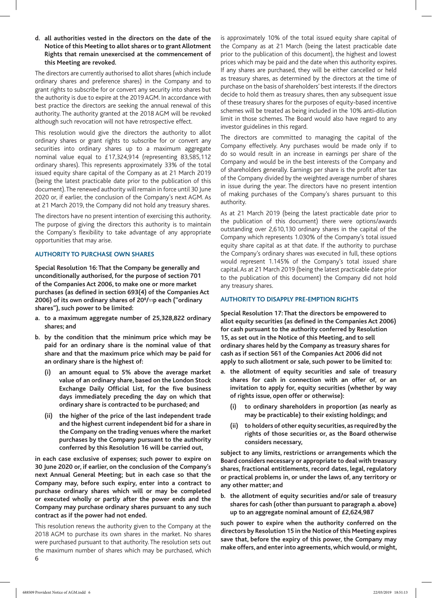**d. all authorities vested in the directors on the date of the Notice of this Meeting to allot shares or to grant Allotment Rights that remain unexercised at the commencement of this Meeting are revoked.**

The directors are currently authorised to allot shares (which include ordinary shares and preference shares) in the Company and to grant rights to subscribe for or convert any security into shares but the authority is due to expire at the 2019 AGM. In accordance with best practice the directors are seeking the annual renewal of this authority. The authority granted at the 2018 AGM will be revoked although such revocation will not have retrospective effect.

This resolution would give the directors the authority to allot ordinary shares or grant rights to subscribe for or convert any securities into ordinary shares up to a maximum aggregate nominal value equal to £17,324,914 (representing 83,585,112 ordinary shares). This represents approximately 33% of the total issued equity share capital of the Company as at 21 March 2019 (being the latest practicable date prior to the publication of this document). The renewed authority will remain in force until 30 June 2020 or, if earlier, the conclusion of the Company's next AGM. As at 21 March 2019, the Company did not hold any treasury shares.

The directors have no present intention of exercising this authority. The purpose of giving the directors this authority is to maintain the Company's flexibility to take advantage of any appropriate opportunities that may arise.

# **AUTHORITY TO PURCHASE OWN SHARES**

**Special Resolution 16: That the Company be generally and unconditionally authorised, for the purpose of section 701 of the Companies Act 2006, to make one or more market purchases (as defined in section 693(4) of the Companies Act 2006) of its own ordinary shares of 208 /11p each ("ordinary shares"), such power to be limited:**

- **a. to a maximum aggregate number of 25,328,822 ordinary shares; and**
- **b. by the condition that the minimum price which may be paid for an ordinary share is the nominal value of that share and that the maximum price which may be paid for an ordinary share is the highest of:**
	- **(i) an amount equal to 5% above the average market value of an ordinary share, based on the London Stock Exchange Daily Official List, for the five business days immediately preceding the day on which that ordinary share is contracted to be purchased; and**
	- **(ii) the higher of the price of the last independent trade and the highest current independent bid for a share in the Company on the trading venues where the market purchases by the Company pursuant to the authority conferred by this Resolution 16 will be carried out,**

**in each case exclusive of expenses; such power to expire on 30 June 2020 or, if earlier, on the conclusion of the Company's next Annual General Meeting; but in each case so that the Company may, before such expiry, enter into a contract to purchase ordinary shares which will or may be completed or executed wholly or partly after the power ends and the Company may purchase ordinary shares pursuant to any such contract as if the power had not ended.**

This resolution renews the authority given to the Company at the 2018 AGM to purchase its own shares in the market. No shares were purchased pursuant to that authority. The resolution sets out the maximum number of shares which may be purchased, which is approximately 10% of the total issued equity share capital of the Company as at 21 March (being the latest practicable date prior to the publication of this document), the highest and lowest prices which may be paid and the date when this authority expires. If any shares are purchased, they will be either cancelled or held as treasury shares, as determined by the directors at the time of purchase on the basis of shareholders' best interests. If the directors decide to hold them as treasury shares, then any subsequent issue of these treasury shares for the purposes of equity-based incentive schemes will be treated as being included in the 10% anti-dilution limit in those schemes. The Board would also have regard to any investor guidelines in this regard.

The directors are committed to managing the capital of the Company effectively. Any purchases would be made only if to do so would result in an increase in earnings per share of the Company and would be in the best interests of the Company and of shareholders generally. Earnings per share is the profit after tax of the Company divided by the weighted average number of shares in issue during the year. The directors have no present intention of making purchases of the Company's shares pursuant to this authority.

As at 21 March 2019 (being the latest practicable date prior to the publication of this document) there were options/awards outstanding over 2,610,130 ordinary shares in the capital of the Company which represents 1.030% of the Company's total issued equity share capital as at that date. If the authority to purchase the Company's ordinary shares was executed in full, these options would represent 1.145% of the Company's total issued share capital. As at 21 March 2019 (being the latest practicable date prior to the publication of this document) the Company did not hold any treasury shares.

# **AUTHORITY TO DISAPPLY PRE-EMPTION RIGHTS**

**Special Resolution 17: That the directors be empowered to allot equity securities (as defined in the Companies Act 2006) for cash pursuant to the authority conferred by Resolution 15, as set out in the Notice of this Meeting, and to sell ordinary shares held by the Company as treasury shares for cash as if section 561 of the Companies Act 2006 did not apply to such allotment or sale, such power to be limited to:**

- **a. the allotment of equity securities and sale of treasury shares for cash in connection with an offer of, or an invitation to apply for, equity securities (whether by way of rights issue, open offer or otherwise):**
	- **(i) to ordinary shareholders in proportion (as nearly as may be practicable) to their existing holdings; and**
	- **(ii) to holders of other equity securities, as required by the rights of those securities or, as the Board otherwise considers necessary,**

**subject to any limits, restrictions or arrangements which the Board considers necessary or appropriate to deal with treasury shares, fractional entitlements, record dates, legal, regulatory or practical problems in, or under the laws of, any territory or any other matter; and**

**b. the allotment of equity securities and/or sale of treasury shares for cash (other than pursuant to paragraph a. above) up to an aggregate nominal amount of £2,624,987**

**such power to expire when the authority conferred on the directors by Resolution 15 in the Notice of this Meeting expires save that, before the expiry of this power, the Company may make offers, and enter into agreements, which would, or might,**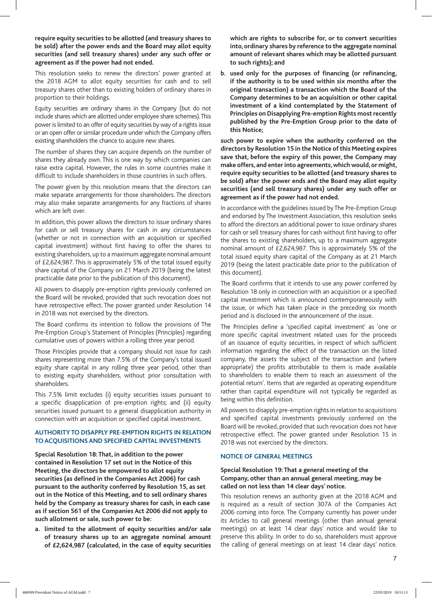**require equity securities to be allotted (and treasury shares to be sold) after the power ends and the Board may allot equity securities (and sell treasury shares) under any such offer or agreement as if the power had not ended.**

This resolution seeks to renew the directors' power granted at the 2018 AGM to allot equity securities for cash and to sell treasury shares other than to existing holders of ordinary shares in proportion to their holdings.

Equity securities are ordinary shares in the Company (but do not include shares which are allotted under employee share schemes). This power is limited to an offer of equity securities by way of a rights issue or an open offer or similar procedure under which the Company offers existing shareholders the chance to acquire new shares.

The number of shares they can acquire depends on the number of shares they already own. This is one way by which companies can raise extra capital. However, the rules in some countries make it difficult to include shareholders in those countries in such offers.

The power given by this resolution means that the directors can make separate arrangements for those shareholders. The directors may also make separate arrangements for any fractions of shares which are left over.

In addition, this power allows the directors to issue ordinary shares for cash or sell treasury shares for cash in any circumstances (whether or not in connection with an acquisition or specified capital investment) without first having to offer the shares to existing shareholders, up to a maximum aggregate nominal amount of £2,624,987. This is approximately 5% of the total issued equity share capital of the Company on 21 March 2019 (being the latest practicable date prior to the publication of this document).

All powers to disapply pre-emption rights previously conferred on the Board will be revoked, provided that such revocation does not have retrospective effect. The power granted under Resolution 14 in 2018 was not exercised by the directors.

The Board confirms its intention to follow the provisions of The Pre-Emption Group's Statement of Principles (Principles) regarding cumulative uses of powers within a rolling three year period.

Those Principles provide that a company should not issue for cash shares representing more than 7.5% of the Company's total issued equity share capital in any rolling three year period, other than to existing equity shareholders, without prior consultation with shareholders.

This 7.5% limit excludes (i) equity securities issues pursuant to a specific disapplication of pre-emption rights; and (ii) equity securities issued pursuant to a general disapplication authority in connection with an acquisition or specified capital investment.

# **AUTHORITY TO DISAPPLY PRE-EMPTION RIGHTS IN RELATION TO ACQUISITIONS AND SPECIFIED CAPITAL INVESTMENTS**

**Special Resolution 18: That, in addition to the power contained in Resolution 17 set out in the Notice of this Meeting, the directors be empowered to allot equity securities (as defined in the Companies Act 2006) for cash pursuant to the authority conferred by Resolution 15, as set out in the Notice of this Meeting, and to sell ordinary shares held by the Company as treasury shares for cash, in each case as if section 561 of the Companies Act 2006 did not apply to such allotment or sale, such power to be:**

**a. limited to the allotment of equity securities and/or sale of treasury shares up to an aggregate nominal amount of £2,624,987 (calculated, in the case of equity securities**  **which are rights to subscribe for, or to convert securities into, ordinary shares by reference to the aggregate nominal amount of relevant shares which may be allotted pursuant to such rights); and**

**b. used only for the purposes of financing (or refinancing, if the authority is to be used within six months after the original transaction) a transaction which the Board of the Company determines to be an acquisition or other capital investment of a kind contemplated by the Statement of Principles on Disapplying Pre-emption Rights most recently published by the Pre-Emption Group prior to the date of this Notice;**

**such power to expire when the authority conferred on the directors by Resolution 15 in the Notice of this Meeting expires save that, before the expiry of this power, the Company may make offers, and enter into agreements, which would, or might, require equity securities to be allotted (and treasury shares to be sold) after the power ends and the Board may allot equity securities (and sell treasury shares) under any such offer or agreement as if the power had not ended.**

In accordance with the guidelines issued by The Pre-Emption Group and endorsed by The Investment Association, this resolution seeks to afford the directors an additional power to issue ordinary shares for cash or sell treasury shares for cash without first having to offer the shares to existing shareholders, up to a maximum aggregate nominal amount of £2,624,987. This is approximately 5% of the total issued equity share capital of the Company as at 21 March 2019 (being the latest practicable date prior to the publication of this document).

The Board confirms that it intends to use any power conferred by Resolution 18 only in connection with an acquisition or a specified capital investment which is announced contemporaneously with the issue, or which has taken place in the preceding six month period and is disclosed in the announcement of the issue.

The Principles define a 'specified capital investment' as 'one or more specific capital investment related uses for the proceeds of an issuance of equity securities, in respect of which sufficient information regarding the effect of the transaction on the listed company, the assets the subject of the transaction and (where appropriate) the profits attributable to them is made available to shareholders to enable them to reach an assessment of the potential return'. Items that are regarded as operating expenditure rather than capital expenditure will not typically be regarded as being within this definition.

All powers to disapply pre-emption rights in relation to acquisitions and specified capital investments previously conferred on the Board will be revoked, provided that such revocation does not have retrospective effect. The power granted under Resolution 15 in 2018 was not exercised by the directors.

# **NOTICE OF GENERAL MEETINGS**

# **Special Resolution 19: That a general meeting of the Company, other than an annual general meeting, may be called on not less than 14 clear days' notice.**

This resolution renews an authority given at the 2018 AGM and is required as a result of section 307A of the Companies Act 2006 coming into force. The Company currently has power under its Articles to call general meetings (other than annual general meetings) on at least 14 clear days' notice and would like to preserve this ability. In order to do so, shareholders must approve the calling of general meetings on at least 14 clear days' notice.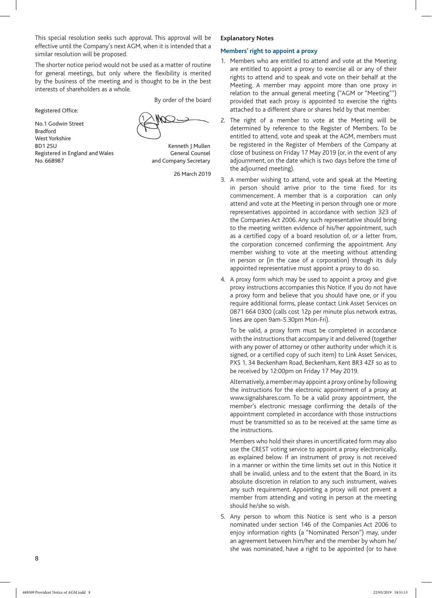This special resolution seeks such approval. This approval will be effective until the Company's next AGM, when it is intended that a similar resolution will be proposed.

The shorter notice period would not be used as a matter of routine for general meetings, but only where the flexibility is merited by the business of the meeting and is thought to be in the best interests of shareholders as a whole.

By order of the board

Registered Office:

No.1 Godwin Street Bradford West Yorkshire<br>BD1 2SU Registered in England and Wales General Counsel No. 668987 and Company Secretary



Kenneth J Mullen

26 March 2019

#### **Explanatory Notes**

#### **Members' right to appoint a proxy**

- 1. Members who are entitled to attend and vote at the Meeting are entitled to appoint a proxy to exercise all or any of their rights to attend and to speak and vote on their behalf at the Meeting. A member may appoint more than one proxy in relation to the annual general meeting ("AGM or "Meeting"") provided that each proxy is appointed to exercise the rights attached to a different share or shares held by that member.
- 2. The right of a member to vote at the Meeting will be determined by reference to the Register of Members. To be entitled to attend, vote and speak at the AGM, members must be registered in the Register of Members of the Company at close of business on Friday 17 May 2019 (or, in the event of any adjournment, on the date which is two days before the time of the adjourned meeting).
- 3. A member wishing to attend, vote and speak at the Meeting in person should arrive prior to the time fixed for its commencement. A member that is a corporation can only attend and vote at the Meeting in person through one or more representatives appointed in accordance with section 323 of the Companies Act 2006. Any such representative should bring to the meeting written evidence of his/her appointment, such as a certified copy of a board resolution of, or a letter from, the corporation concerned confirming the appointment. Any member wishing to vote at the meeting without attending in person or (in the case of a corporation) through its duly appointed representative must appoint a proxy to do so.
- 4. A proxy form which may be used to appoint a proxy and give proxy instructions accompanies this Notice. If you do not have a proxy form and believe that you should have one, or if you require additional forms, please contact Link Asset Services on 0871 664 0300 (calls cost 12p per minute plus network extras, lines are open 9am-5.30pm Mon-Fri).

 To be valid, a proxy form must be completed in accordance with the instructions that accompany it and delivered (together with any power of attorney or other authority under which it is signed, or a certified copy of such item) to Link Asset Services, PXS 1, 34 Beckenham Road, Beckenham, Kent BR3 4ZF so as to be received by 12:00pm on Friday 17 May 2019.

 Alternatively, a member may appoint a proxy online by following the instructions for the electronic appointment of a proxy at www.signalshares.com. To be a valid proxy appointment, the member's electronic message confirming the details of the appointment completed in accordance with those instructions must be transmitted so as to be received at the same time as the instructions.

 Members who hold their shares in uncertificated form may also use the CREST voting service to appoint a proxy electronically, as explained below. If an instrument of proxy is not received in a manner or within the time limits set out in this Notice it shall be invalid, unless and to the extent that the Board, in its absolute discretion in relation to any such instrument, waives any such requirement. Appointing a proxy will not prevent a member from attending and voting in person at the meeting should he/she so wish.

5. Any person to whom this Notice is sent who is a person nominated under section 146 of the Companies Act 2006 to enjoy information rights (a "Nominated Person") may, under an agreement between him/her and the member by whom he/ she was nominated, have a right to be appointed (or to have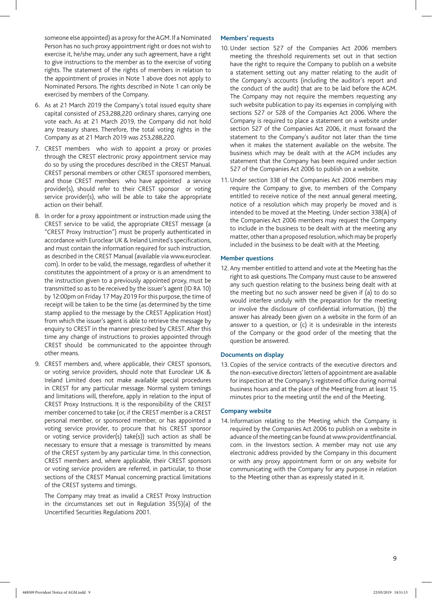someone else appointed) as a proxy for the AGM. If a Nominated Person has no such proxy appointment right or does not wish to exercise it, he/she may, under any such agreement, have a right to give instructions to the member as to the exercise of voting rights. The statement of the rights of members in relation to the appointment of proxies in Note 1 above does not apply to Nominated Persons. The rights described in Note 1 can only be exercised by members of the Company.

- 6. As at 21 March 2019 the Company's total issued equity share capital consisted of 253,288,220 ordinary shares, carrying one vote each. As at 21 March 2019, the Company did not hold any treasury shares. Therefore, the total voting rights in the Company as at 21 March 2019 was 253,288,220.
- 7. CREST members who wish to appoint a proxy or proxies through the CREST electronic proxy appointment service may do so by using the procedures described in the CREST Manual. CREST personal members or other CREST sponsored members, and those CREST members who have appointed a service provider(s), should refer to their CREST sponsor or voting service provider(s), who will be able to take the appropriate action on their behalf.
- 8. In order for a proxy appointment or instruction made using the CREST service to be valid, the appropriate CREST message (a "CREST Proxy Instruction") must be properly authenticated in accordance with Euroclear UK & Ireland Limited's specifications, and must contain the information required for such instruction, as described in the CREST Manual (available via www.euroclear. com). In order to be valid, the message, regardless of whether it constitutes the appointment of a proxy or is an amendment to the instruction given to a previously appointed proxy, must be transmitted so as to be received by the issuer's agent (ID RA 10) by 12:00pm on Friday 17 May 2019 For this purpose, the time of receipt will be taken to be the time (as determined by the time stamp applied to the message by the CREST Application Host) from which the issuer's agent is able to retrieve the message by enquiry to CREST in the manner prescribed by CREST. After this time any change of instructions to proxies appointed through CREST should be communicated to the appointee through other means.
- 9. CREST members and, where applicable, their CREST sponsors, or voting service providers, should note that Euroclear UK & Ireland Limited does not make available special procedures in CREST for any particular message. Normal system timings and limitations will, therefore, apply in relation to the input of CREST Proxy Instructions. It is the responsibility of the CREST member concerned to take (or, if the CREST member is a CREST personal member, or sponsored member, or has appointed a voting service provider, to procure that his CREST sponsor or voting service provider(s) take(s)) such action as shall be necessary to ensure that a message is transmitted by means of the CREST system by any particular time. In this connection, CREST members and, where applicable, their CREST sponsors or voting service providers are referred, in particular, to those sections of the CREST Manual concerning practical limitations of the CREST systems and timings.

 The Company may treat as invalid a CREST Proxy Instruction in the circumstances set out in Regulation 35(5)(a) of the Uncertified Securities Regulations 2001.

# **Members' requests**

- 10. Under section 527 of the Companies Act 2006 members meeting the threshold requirements set out in that section have the right to require the Company to publish on a website a statement setting out any matter relating to the audit of the Company's accounts (including the auditor's report and the conduct of the audit) that are to be laid before the AGM. The Company may not require the members requesting any such website publication to pay its expenses in complying with sections 527 or 528 of the Companies Act 2006. Where the Company is required to place a statement on a website under section 527 of the Companies Act 2006, it must forward the statement to the Company's auditor not later than the time when it makes the statement available on the website. The business which may be dealt with at the AGM includes any statement that the Company has been required under section 527 of the Companies Act 2006 to publish on a website.
- 11. Under section 338 of the Companies Act 2006 members may require the Company to give, to members of the Company entitled to receive notice of the next annual general meeting, notice of a resolution which may properly be moved and is intended to be moved at the Meeting. Under section 338(A) of the Companies Act 2006 members may request the Company to include in the business to be dealt with at the meeting any matter, other than a proposed resolution, which may be properly included in the business to be dealt with at the Meeting.

# **Member questions**

12. Any member entitled to attend and vote at the Meeting has the right to ask questions. The Company must cause to be answered any such question relating to the business being dealt with at the meeting but no such answer need be given if (a) to do so would interfere unduly with the preparation for the meeting or involve the disclosure of confidential information, (b) the answer has already been given on a website in the form of an answer to a question, or (c) it is undesirable in the interests of the Company or the good order of the meeting that the question be answered.

# **Documents on display**

13. Copies of the service contracts of the executive directors and the non-executive directors' letters of appointment are available for inspection at the Company's registered office during normal business hours and at the place of the Meeting from at least 15 minutes prior to the meeting until the end of the Meeting.

# **Company website**

14. Information relating to the Meeting which the Company is required by the Companies Act 2006 to publish on a website in advance of the meeting can be found at www.providentfinancial. com. in the Investors section. A member may not use any electronic address provided by the Company in this document or with any proxy appointment form or on any website for communicating with the Company for any purpose in relation to the Meeting other than as expressly stated in it.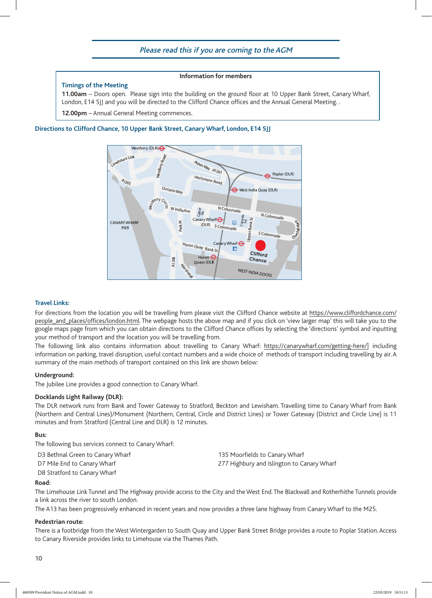# Please read this if you are coming to the AGM

# **Information for members**

# **Timings of the Meeting**

**11.00am** – Doors open. Please sign into the building on the ground floor at 10 Upper Bank Street, Canary Wharf, London, E14 5JJ and you will be directed to the Clifford Chance offices and the Annual General Meeting..

**12.00pm** – Annual General Meeting commences.

# **Directions to Clifford Chance, 10 Upper Bank Street, Canary Wharf, London, E14 5JJ**



#### **Travel Links:**

For directions from the location you will be travelling from please visit the Clifford Chance website at https://www.cliffordchance.com/ people\_and\_places/offices/london.html. The webpage hosts the above map and if you click on 'view larger map' this will take you to the google maps page from which you can obtain directions to the Clifford Chance offices by selecting the 'directions' symbol and inputting your method of transport and the location you will be travelling from.

The following link also contains information about travelling to Canary Wharf: https://canarywharf.com/getting-here/] including information on parking, travel disruption, useful contact numbers and a wide choice of methods of transport including travelling by air. A summary of the main methods of transport contained on this link are shown below:

# **Underground:**

The Jubilee Line provides a good connection to Canary Wharf.

# **Docklands Light Railway (DLR):**

The DLR network runs from Bank and Tower Gateway to Stratford, Beckton and Lewisham. Travelling time to Canary Wharf from Bank (Northern and Central Lines)/Monument (Northern, Central, Circle and District Lines) or Tower Gateway (District and Circle Line) is 11 minutes and from Stratford (Central Line and DLR) is 12 minutes.

#### **Bus:**

The following bus services connect to Canary Wharf:

D3 Bethnal Green to Canary Wharf 135 Moorfields to Canary Wharf

D8 Stratford to Canary Wharf

D7 Mile End to Canary Wharf 277 Highbury and Islington to Canary Wharf

#### **Road:**

The Limehouse Link Tunnel and The Highway provide access to the City and the West End. The Blackwall and Rotherhithe Tunnels provide a link across the river to south London.

The A13 has been progressively enhanced in recent years and now provides a three lane highway from Canary Wharf to the M25.

# **Pedestrian route:**

There is a footbridge from the West Wintergarden to South Quay and Upper Bank Street Bridge provides a route to Poplar Station. Access to Canary Riverside provides links to Limehouse via the Thames Path.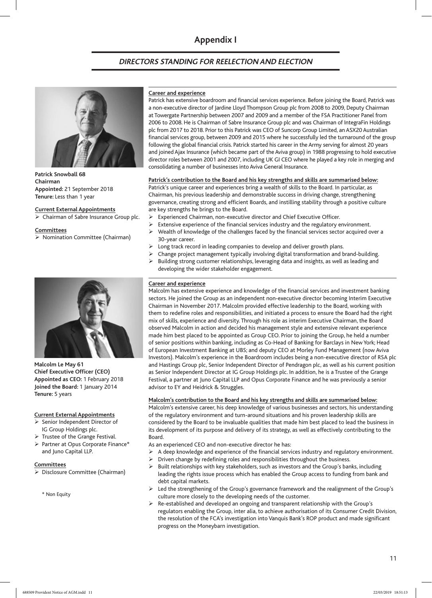# **Appendix I**

# **DIRECTORS STANDING FOR REELECTION AND ELECTION**



**Patrick Snowball 68 Chairman Appointed:** 21 September 2018 **Tenure:** Less than 1 year

#### **Current External Appointments**

Chairman of Sabre Insurance Group plc.

#### **Committees**

Nomination Committee (Chairman)



**Malcolm Le May 61 Chief Executive Officer (CEO) Appointed as CEO:** 1 February 2018 **Joined the Board:** 1 January 2014 **Tenure:** 5 years

#### **Current External Appointments**

- $\triangleright$  Senior Independent Director of IG Group Holdings plc.
- Trustee of the Grange Festival.
- Partner at Opus Corporate Finance\* and Juno Capital LLP.

#### **Committees**

Disclosure Committee (Chairman)

\* Non Equity

#### **Career and experience**

Patrick has extensive boardroom and financial services experience. Before joining the Board, Patrick was a non-executive director of Jardine Lloyd Thompson Group plc from 2008 to 2009, Deputy Chairman at Towergate Partnership between 2007 and 2009 and a member of the FSA Practitioner Panel from 2006 to 2008. He is Chairman of Sabre Insurance Group plc and was Chairman of IntegraFin Holdings plc from 2017 to 2018. Prior to this Patrick was CEO of Suncorp Group Limited, an ASX20 Australian financial services group, between 2009 and 2015 where he successfully led the turnaround of the group following the global financial crisis. Patrick started his career in the Army serving for almost 20 years and joined Ajax Insurance (which became part of the Aviva group) in 1988 progressing to hold executive director roles between 2001 and 2007, including UK GI CEO where he played a key role in merging and consolidating a number of businesses into Aviva General Insurance.

#### **Patrick's contribution to the Board and his key strengths and skills are summarised below:**

Patrick's unique career and experiences bring a wealth of skills to the Board. In particular, as Chairman, his previous leadership and demonstrable success in driving change, strengthening governance, creating strong and efficient Boards, and instilling stability through a positive culture are key strengths he brings to the Board.

- Experienced Chairman, non-executive director and Chief Executive Officer.
- Extensive experience of the financial services industry and the regulatory environment.
- $\triangleright$  Wealth of knowledge of the challenges faced by the financial services sector acquired over a 30-year career.
- Long track record in leading companies to develop and deliver growth plans.
- Change project management typically involving digital transformation and brand-building.
- $\triangleright$  Building strong customer relationships, leveraging data and insights, as well as leading and developing the wider stakeholder engagement.

#### **Career and experience**

Malcolm has extensive experience and knowledge of the financial services and investment banking sectors. He joined the Group as an independent non-executive director becoming Interim Executive Chairman in November 2017. Malcolm provided effective leadership to the Board, working with them to redefine roles and responsibilities, and initiated a process to ensure the Board had the right mix of skills, experience and diversity. Through his role as interim Executive Chairman, the Board observed Malcolm in action and decided his management style and extensive relevant experience made him best placed to be appointed as Group CEO. Prior to joining the Group, he held a number of senior positions within banking, including as Co-Head of Banking for Barclays in New York; Head of European Investment Banking at UBS; and deputy CEO at Morley Fund Management (now Aviva Investors). Malcolm's experience in the Boardroom includes being a non-executive director of RSA plc and Hastings Group plc, Senior Independent Director of Pendragon plc, as well as his current position as Senior Independent Director at IG Group Holdings plc. In addition, he is a Trustee of the Grange Festival, a partner at Juno Capital LLP and Opus Corporate Finance and he was previously a senior advisor to EY and Heidrick & Struggles.

#### **Malcolm's contribution to the Board and his key strengths and skills are summarised below:**

Malcolm's extensive career, his deep knowledge of various businesses and sectors, his understanding of the regulatory environment and turn-around situations and his proven leadership skills are considered by the Board to be invaluable qualities that made him best placed to lead the business in its development of its purpose and delivery of its strategy, as well as effectively contributing to the Board.

As an experienced CEO and non-executive director he has:

- $\triangleright$  A deep knowledge and experience of the financial services industry and regulatory environment.
- Driven change by redefining roles and responsibilities throughout the business.
- Built relationships with key stakeholders, such as investors and the Group's banks, including leading the rights issue process which has enabled the Group access to funding from bank and debt capital markets.
- $\triangleright$  Led the strengthening of the Group's governance framework and the realignment of the Group's culture more closely to the developing needs of the customer.
- Re-established and developed an ongoing and transparent relationship with the Group's regulators enabling the Group, inter alia, to achieve authorisation of its Consumer Credit Division, the resolution of the FCA's investigation into Vanquis Bank's ROP product and made significant progress on the Moneybarn investigation.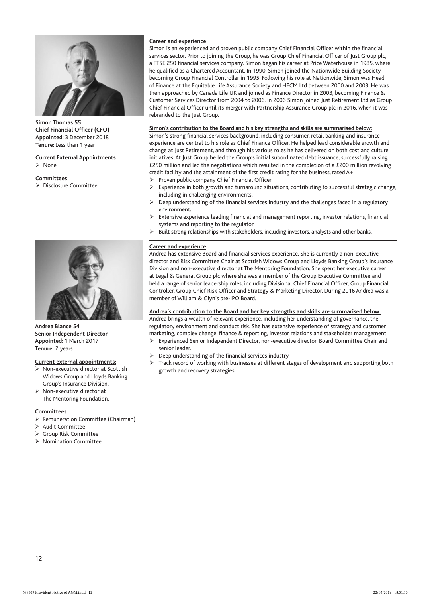

**Simon Thomas 55 Chief Financial Officer (CFO) Appointed:** 3 December 2018 **Tenure:** Less than 1 year

#### **Current External Appointments** None

#### **Committees**

Disclosure Committee



**Andrea Blance 54 Senior Independent Director Appointed:** 1 March 2017 **Tenure:** 2 years

#### **Current external appointments:**

- $\triangleright$  Non-executive director at Scottish Widows Group and Lloyds Banking Group's Insurance Division.
- $\triangleright$  Non-executive director at The Mentoring Foundation.

#### **Committees**

- Remuneration Committee (Chairman)
- Audit Committee
- Group Risk Committee
- Nomination Committee

# **Career and experience**

Simon is an experienced and proven public company Chief Financial Officer within the financial services sector. Prior to joining the Group, he was Group Chief Financial Officer of Just Group plc, a FTSE 250 financial services company. Simon began his career at Price Waterhouse in 1985, where he qualified as a Chartered Accountant. In 1990, Simon joined the Nationwide Building Society becoming Group Financial Controller in 1995. Following his role at Nationwide, Simon was Head of Finance at the Equitable Life Assurance Society and HECM Ltd between 2000 and 2003. He was then approached by Canada Life UK and joined as Finance Director in 2003, becoming Finance & Customer Services Director from 2004 to 2006. In 2006 Simon joined Just Retirement Ltd as Group Chief Financial Officer until its merger with Partnership Assurance Group plc in 2016, when it was rebranded to the Just Group.

#### **Simon's contribution to the Board and his key strengths and skills are summarised below:**

Simon's strong financial services background, including consumer, retail banking and insurance experience are central to his role as Chief Finance Officer. He helped lead considerable growth and change at Just Retirement, and through his various roles he has delivered on both cost and culture initiatives. At Just Group he led the Group's initial subordinated debt issuance, successfully raising £250 million and led the negotiations which resulted in the completion of a £200 million revolving credit facility and the attainment of the first credit rating for the business, rated A+.

- $\triangleright$  Proven public company Chief Financial Officer.
- Experience in both growth and turnaround situations, contributing to successful strategic change, including in challenging environments.
- $\triangleright$  Deep understanding of the financial services industry and the challenges faced in a regulatory environment.
- Extensive experience leading financial and management reporting, investor relations, financial systems and reporting to the regulator.
- $\triangleright$  Built strong relationships with stakeholders, including investors, analysts and other banks.

#### **Career and experience**

Andrea has extensive Board and financial services experience. She is currently a non-executive director and Risk Committee Chair at Scottish Widows Group and Lloyds Banking Group's Insurance Division and non-executive director at The Mentoring Foundation. She spent her executive career at Legal & General Group plc where she was a member of the Group Executive Committee and held a range of senior leadership roles, including Divisional Chief Financial Officer, Group Financial Controller, Group Chief Risk Officer and Strategy & Marketing Director. During 2016 Andrea was a member of William & Glyn's pre-IPO Board.

# **Andrea's contribution to the Board and her key strengths and skills are summarised below:**

Andrea brings a wealth of relevant experience, including her understanding of governance, the regulatory environment and conduct risk. She has extensive experience of strategy and customer marketing, complex change, finance & reporting, investor relations and stakeholder management.

- Experienced Senior Independent Director, non-executive director, Board Committee Chair and senior leader.
- Deep understanding of the financial services industry.
- Track record of working with businesses at different stages of development and supporting both growth and recovery strategies.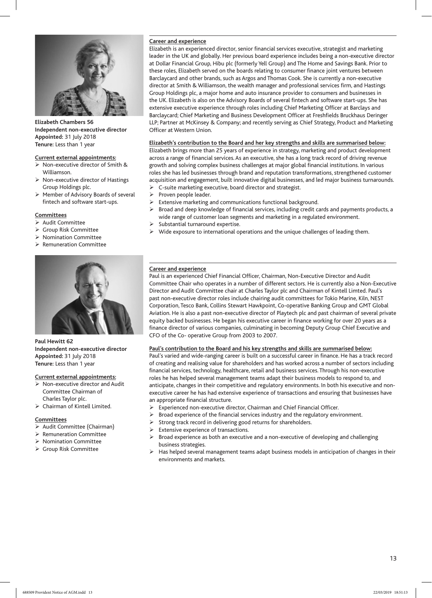

**Elizabeth Chambers 56 Independent non-executive director Appointed:** 31 July 2018 **Tenure:** Less than 1 year

#### **Current external appointments:**

- Non-executive director of Smith & Williamson.
- Non-executive director of Hastings Group Holdings plc.
- Member of Advisory Boards of several fintech and software start-ups.

#### **Committees**

- $\triangleright$  Audit Committee
- Group Risk Committee
- Nomination Committee
- Remuneration Committee



**Paul Hewitt 62 Independent non-executive director Appointed:** 31 July 2018 **Tenure:** Less than 1 year

#### **Current external appointments:**

- $\triangleright$  Non-executive director and Audit Committee Chairman of Charles Taylor plc.
- Chairman of Kintell Limited.

#### **Committees**

- > Audit Committee (Chairman)
- Remuneration Committee
- Nomination Committee
- Group Risk Committee

#### **Career and experience**

Elizabeth is an experienced director, senior financial services executive, strategist and marketing leader in the UK and globally. Her previous board experience includes being a non-executive director at Dollar Financial Group, Hibu plc (formerly Yell Group) and The Home and Savings Bank. Prior to these roles, Elizabeth served on the boards relating to consumer finance joint ventures between Barclaycard and other brands, such as Argos and Thomas Cook. She is currently a non-executive director at Smith & Williamson, the wealth manager and professional services firm, and Hastings Group Holdings plc, a major home and auto insurance provider to consumers and businesses in the UK. Elizabeth is also on the Advisory Boards of several fintech and software start-ups. She has extensive executive experience through roles including Chief Marketing Officer at Barclays and Barclaycard; Chief Marketing and Business Development Officer at Freshfields Bruckhaus Deringer LLP; Partner at McKinsey & Company; and recently serving as Chief Strategy, Product and Marketing Officer at Western Union.

#### **Elizabeth's contribution to the Board and her key strengths and skills are summarised below:**

Elizabeth brings more than 25 years of experience in strategy, marketing and product development across a range of financial services. As an executive, she has a long track record of driving revenue growth and solving complex business challenges at major global financial institutions. In various roles she has led businesses through brand and reputation transformations, strengthened customer acquisition and engagement, built innovative digital businesses, and led major business turnarounds.

- $\triangleright$  C-suite marketing executive, board director and strategist.
- Proven people leader.
- Extensive marketing and communications functional background.
- $\triangleright$  Broad and deep knowledge of financial services, including credit cards and payments products, a wide range of customer loan segments and marketing in a regulated environment.
- Substantial turnaround expertise.
- $\triangleright$  Wide exposure to international operations and the unique challenges of leading them.

#### **Career and experience**

Paul is an experienced Chief Financial Officer, Chairman, Non-Executive Director and Audit Committee Chair who operates in a number of different sectors. He is currently also a Non-Executive Director and Audit Committee chair at Charles Taylor plc and Chairman of Kintell Limted. Paul's past non-executive director roles include chairing audit committees for Tokio Marine, Kiln, NEST Corporation, Tesco Bank, Collins Stewart Hawkpoint, Co-operative Banking Group and GMT Global Aviation. He is also a past non-executive director of Playtech plc and past chairman of several private equity backed businesses. He began his executive career in finance working for over 20 years as a finance director of various companies, culminating in becoming Deputy Group Chief Executive and CFO of the Co- operative Group from 2003 to 2007.

#### **Paul's contribution to the Board and his key strengths and skills are summarised below:**

Paul's varied and wide-ranging career is built on a successful career in finance. He has a track record of creating and realising value for shareholders and has worked across a number of sectors including financial services, technology, healthcare, retail and business services. Through his non-executive roles he has helped several management teams adapt their business models to respond to, and anticipate, changes in their competitive and regulatory environments. In both his executive and nonexecutive career he has had extensive experience of transactions and ensuring that businesses have an appropriate financial structure.

- Experienced non-executive director, Chairman and Chief Financial Officer.
- Broad experience of the financial services industry and the regulatory environment.
- $\triangleright$  Strong track record in delivering good returns for shareholders.
- Extensive experience of transactions.
- $\triangleright$  Broad experience as both an executive and a non-executive of developing and challenging business strategies.
- $\triangleright$  Has helped several management teams adapt business models in anticipation of changes in their environments and markets.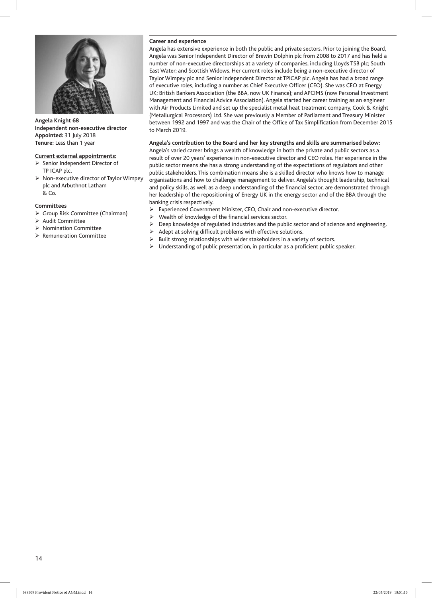

**Angela Knight 68 Independent non-executive director Appointed:** 31 July 2018 **Tenure:** Less than 1 year

#### **Current external appointments:**

- Senior Independent Director of TP ICAP plc.
- $\triangleright$  Non-executive director of Taylor Wimpey plc and Arbuthnot Latham & Co.

#### **Committees**

- Group Risk Committee (Chairman)
- Audit Committee
- Nomination Committee
- Remuneration Committee

#### **Career and experience**

Angela has extensive experience in both the public and private sectors. Prior to joining the Board, Angela was Senior Independent Director of Brewin Dolphin plc from 2008 to 2017 and has held a number of non-executive directorships at a variety of companies, including Lloyds TSB plc; South East Water; and Scottish Widows. Her current roles include being a non-executive director of Taylor Wimpey plc and Senior Independent Director at TPICAP plc. Angela has had a broad range of executive roles, including a number as Chief Executive Officer (CEO). She was CEO at Energy UK; British Bankers Association (the BBA, now UK Finance); and APCIMS (now Personal Investment Management and Financial Advice Association). Angela started her career training as an engineer with Air Products Limited and set up the specialist metal heat treatment company, Cook & Knight (Metallurgical Processors) Ltd. She was previously a Member of Parliament and Treasury Minister between 1992 and 1997 and was the Chair of the Office of Tax Simplification from December 2015 to March 2019.

#### **Angela's contribution to the Board and her key strengths and skills are summarised below:**

Angela's varied career brings a wealth of knowledge in both the private and public sectors as a result of over 20 years' experience in non-executive director and CEO roles. Her experience in the public sector means she has a strong understanding of the expectations of regulators and other public stakeholders. This combination means she is a skilled director who knows how to manage organisations and how to challenge management to deliver. Angela's thought leadership, technical and policy skills, as well as a deep understanding of the financial sector, are demonstrated through her leadership of the repositioning of Energy UK in the energy sector and of the BBA through the banking crisis respectively.

- Experienced Government Minister, CEO, Chair and non-executive director.
- Wealth of knowledge of the financial services sector.
- $\triangleright$  Deep knowledge of regulated industries and the public sector and of science and engineering.
- $\triangleright$  Adept at solving difficult problems with effective solutions.
- $\triangleright$  Built strong relationships with wider stakeholders in a variety of sectors.
- $\triangleright$  Understanding of public presentation, in particular as a proficient public speaker.